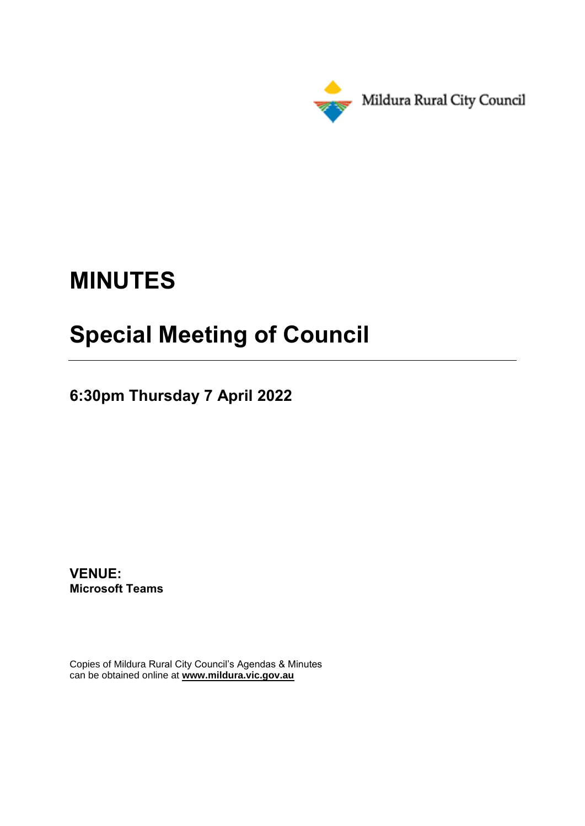

# **MINUTES**

## **Special Meeting of Council**

**6:30pm Thursday 7 April 2022**

**VENUE: Microsoft Teams**

Copies of Mildura Rural City Council's Agendas & Minutes can be obtained online at **www.mildura.vic.gov.au**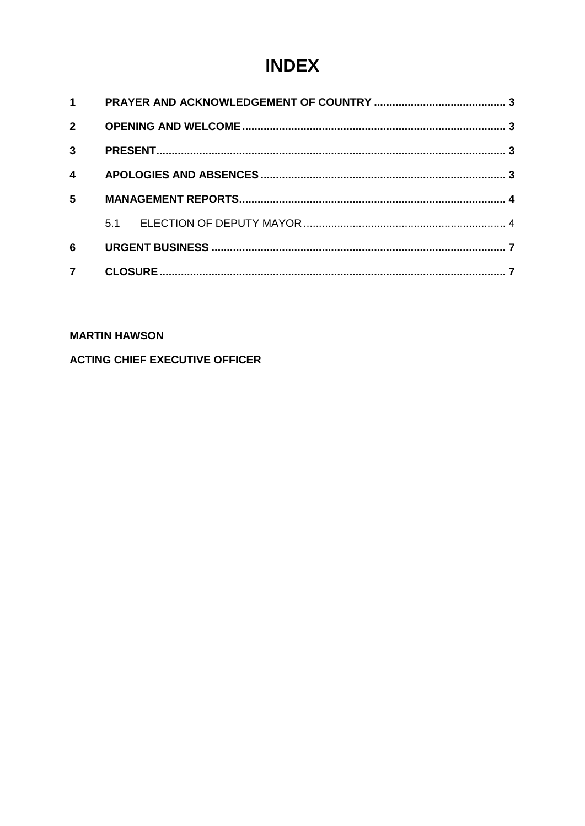## **INDEX**

| 1                       |     |  |  |
|-------------------------|-----|--|--|
| $\overline{2}$          |     |  |  |
| $\mathbf{3}$            |     |  |  |
| $\overline{\mathbf{4}}$ |     |  |  |
| 5                       |     |  |  |
|                         | 5.1 |  |  |
| 6                       |     |  |  |
|                         |     |  |  |

#### **MARTIN HAWSON**

**ACTING CHIEF EXECUTIVE OFFICER**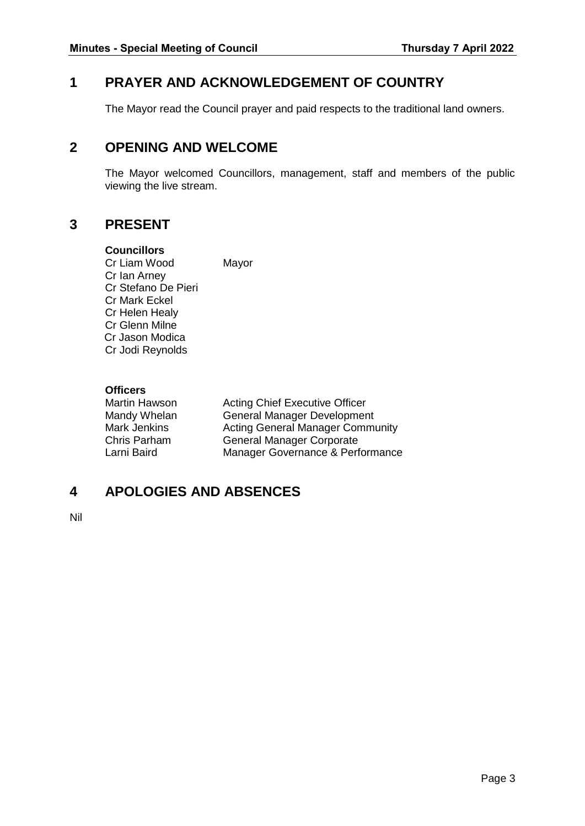#### <span id="page-2-0"></span>**1 PRAYER AND ACKNOWLEDGEMENT OF COUNTRY**

The Mayor read the Council prayer and paid respects to the traditional land owners.

### <span id="page-2-1"></span>**2 OPENING AND WELCOME**

The Mayor welcomed Councillors, management, staff and members of the public viewing the live stream.

#### <span id="page-2-2"></span>**3 PRESENT**

#### **Councillors**

Cr Liam Wood Mayor Cr Ian Arney Cr Stefano De Pieri Cr Mark Eckel Cr Helen Healy Cr Glenn Milne Cr Jason Modica Cr Jodi Reynolds

#### **Officers**

| Martin Hawson | <b>Acting Chief Executive Officer</b>   |
|---------------|-----------------------------------------|
| Mandy Whelan  | <b>General Manager Development</b>      |
| Mark Jenkins  | <b>Acting General Manager Community</b> |
| Chris Parham  | <b>General Manager Corporate</b>        |
| Larni Baird   | Manager Governance & Performance        |

### <span id="page-2-3"></span>**4 APOLOGIES AND ABSENCES**

Nil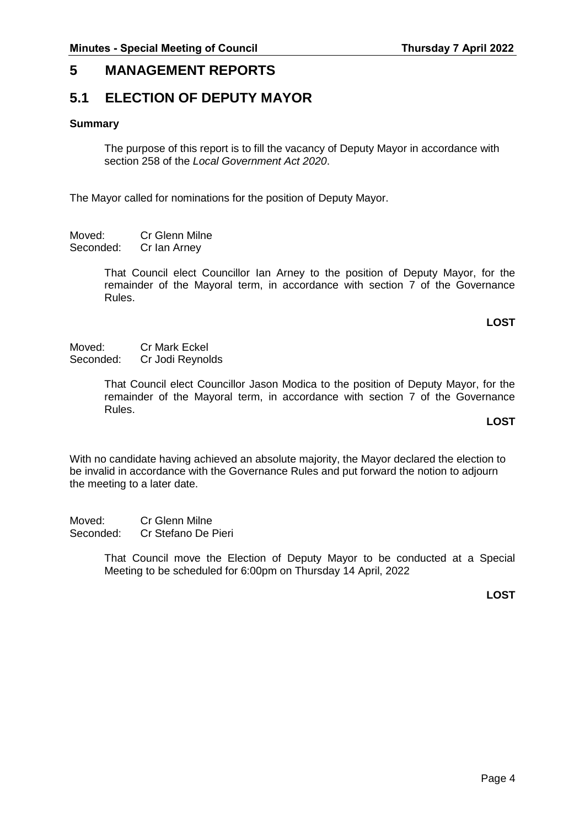#### <span id="page-3-0"></span>**5 MANAGEMENT REPORTS**

#### <span id="page-3-1"></span>**5.1 ELECTION OF DEPUTY MAYOR**

#### **Summary**

The purpose of this report is to fill the vacancy of Deputy Mayor in accordance with section 258 of the *Local Government Act 2020*.

The Mayor called for nominations for the position of Deputy Mayor.

Moved: Cr Glenn Milne Seconded: Cr Ian Arney

> That Council elect Councillor Ian Arney to the position of Deputy Mayor, for the remainder of the Mayoral term, in accordance with section 7 of the Governance Rules.

#### **LOST**

Moved: Cr Mark Eckel<br>Seconded: Cr Jodi Reynol Cr Jodi Reynolds

> That Council elect Councillor Jason Modica to the position of Deputy Mayor, for the remainder of the Mayoral term, in accordance with section 7 of the Governance Rules.

#### **LOST**

With no candidate having achieved an absolute majority, the Mayor declared the election to be invalid in accordance with the Governance Rules and put forward the notion to adjourn the meeting to a later date.

Moved: Cr Glenn Milne Seconded: Cr Stefano De Pieri

> That Council move the Election of Deputy Mayor to be conducted at a Special Meeting to be scheduled for 6:00pm on Thursday 14 April, 2022

> > **LOST**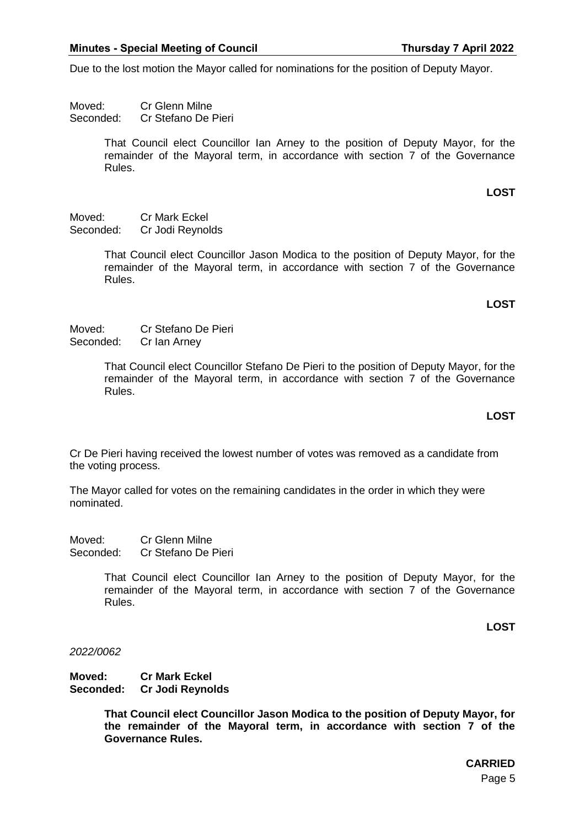Due to the lost motion the Mayor called for nominations for the position of Deputy Mayor.

Moved: Cr Glenn Milne Seconded: Cr Stefano De Pieri

> That Council elect Councillor Ian Arney to the position of Deputy Mayor, for the remainder of the Mayoral term, in accordance with section 7 of the Governance Rules.

> > **LOST**

Moved: Cr Mark Eckel Seconded: Cr Jodi Reynolds

> That Council elect Councillor Jason Modica to the position of Deputy Mayor, for the remainder of the Mayoral term, in accordance with section 7 of the Governance Rules.

#### **LOST**

Moved: Cr Stefano De Pieri Seconded: Cr Ian Arney

> That Council elect Councillor Stefano De Pieri to the position of Deputy Mayor, for the remainder of the Mayoral term, in accordance with section 7 of the Governance Rules.

#### **LOST**

Cr De Pieri having received the lowest number of votes was removed as a candidate from the voting process.

The Mayor called for votes on the remaining candidates in the order in which they were nominated.

Moved: Cr Glenn Milne Seconded: Cr Stefano De Pieri

> That Council elect Councillor Ian Arney to the position of Deputy Mayor, for the remainder of the Mayoral term, in accordance with section 7 of the Governance Rules.

> > **LOST**

*2022/0062*

**Moved: Cr Mark Eckel Seconded: Cr Jodi Reynolds**

> **That Council elect Councillor Jason Modica to the position of Deputy Mayor, for the remainder of the Mayoral term, in accordance with section 7 of the Governance Rules.**